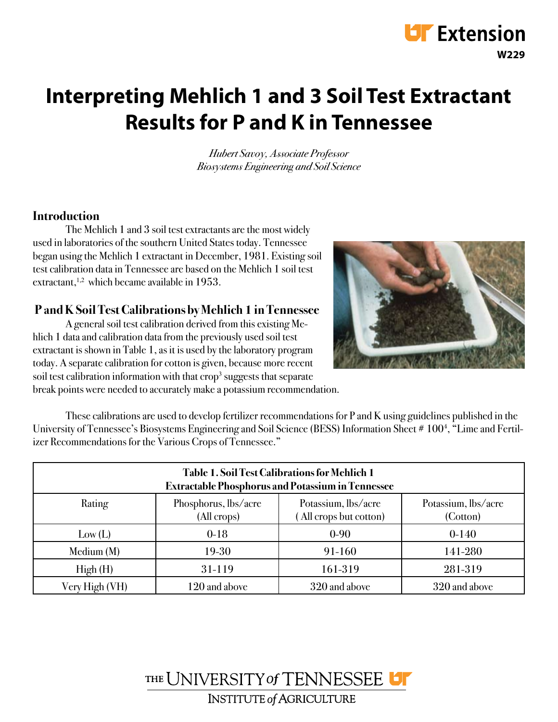# **Interpreting Mehlich 1 and 3 Soil Test Extractant Results for P and K in Tennessee**

*Hubert Savoy, Associate Professor Biosystems Engineering and Soil Science*

#### **Introduction**

The Mehlich 1 and 3 soil test extractants are the most widely used in laboratories of the southern United States today. Tennessee began using the Mehlich 1 extractant in December, 1981. Existing soil test calibration data in Tennessee are based on the Mehlich 1 soil test extractant,  $1,2$  which became available in 1953.

### **P and K Soil Test Calibrations by Mehlich 1 in Tennessee**

A general soil test calibration derived from this existing Mehlich 1 data and calibration data from the previously used soil test extractant is shown in Table 1, as it is used by the laboratory program today. A separate calibration for cotton is given, because more recent soil test calibration information with that crop<sup>3</sup> suggests that separate break points were needed to accurately make a potassium recommendation.



These calibrations are used to develop fertilizer recommendations for P and K using guidelines published in the University of Tennessee's Biosystems Engineering and Soil Science (BESS) Information Sheet # 1004 , "Lime and Fertilizer Recommendations for the Various Crops of Tennessee."

| <b>Table 1. Soil Test Calibrations for Mehlich 1</b><br><b>Extractable Phosphorus and Potassium in Tennessee</b> |                                     |                                              |                                 |  |
|------------------------------------------------------------------------------------------------------------------|-------------------------------------|----------------------------------------------|---------------------------------|--|
| Rating                                                                                                           | Phosphorus, lbs/acre<br>(All crops) | Potassium, lbs/acre<br>All crops but cotton) | Potassium, lbs/acre<br>(Cotton) |  |
| Low(L)                                                                                                           | $0 - 18$                            | $0 - 90$                                     | $0 - 140$                       |  |
| Median(M)                                                                                                        | 19-30                               | 91-160                                       | 141-280                         |  |
| High(H)                                                                                                          | 31-119                              | 161-319                                      | 281-319                         |  |
| Very High (VH)                                                                                                   | 120 and above                       | 320 and above                                | 320 and above                   |  |

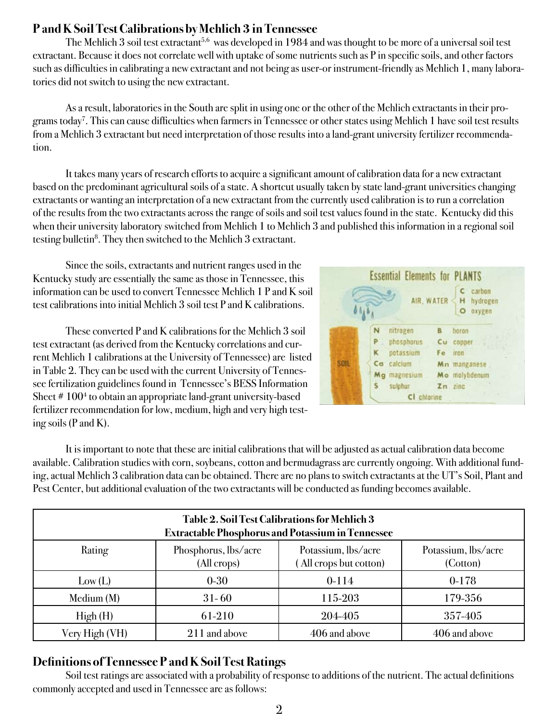# **P and K Soil Test Calibrations by Mehlich 3 in Tennessee**

The Mehlich 3 soil test extractant<sup>5,6</sup> was developed in 1984 and was thought to be more of a universal soil test extractant. Because it does not correlate well with uptake of some nutrients such as P in specific soils, and other factors such as difficulties in calibrating a new extractant and not being as user-or instrument-friendly as Mehlich 1, many laboratories did not switch to using the new extractant.

As a result, laboratories in the South are split in using one or the other of the Mehlich extractants in their programs today<sup>7</sup>. This can cause difficulties when farmers in Tennessee or other states using Mehlich 1 have soil test results from a Mehlich 3 extractant but need interpretation of those results into a land-grant university fertilizer recommendation.

It takes many years of research efforts to acquire a significant amount of calibration data for a new extractant based on the predominant agricultural soils of a state. A shortcut usually taken by state land-grant universities changing extractants or wanting an interpretation of a new extractant from the currently used calibration is to run a correlation of the results from the two extractants across the range of soils and soil test values found in the state. Kentucky did this when their university laboratory switched from Mehlich 1 to Mehlich 3 and published this information in a regional soil testing bulletin<sup>8</sup>. They then switched to the Mehlich 3 extractant.

Since the soils, extractants and nutrient ranges used in the Kentucky study are essentially the same as those in Tennessee, this information can be used to convert Tennessee Mehlich 1 P and K soil test calibrations into initial Mehlich 3 soil test P and K calibrations.

These converted P and K calibrations for the Mehlich 3 soil test extractant (as derived from the Kentucky correlations and current Mehlich 1 calibrations at the University of Tennessee) are listed in Table 2. They can be used with the current University of Tennessee fertilization guidelines found in Tennessee's BESS Information Sheet #100<sup>4</sup> to obtain an appropriate land-grant university-based fertilizer recommendation for low, medium, high and very high testing soils (P and K).



It is important to note that these are initial calibrations that will be adjusted as actual calibration data become available. Calibration studies with corn, soybeans, cotton and bermudagrass are currently ongoing. With additional funding, actual Mehlich 3 calibration data can be obtained. There are no plans to switch extractants at the UT's Soil, Plant and Pest Center, but additional evaluation of the two extractants will be conducted as funding becomes available.

| Table 2. Soil Test Calibrations for Mehlich 3<br><b>Extractable Phosphorus and Potassium in Tennessee</b> |                                     |                                              |                                 |  |
|-----------------------------------------------------------------------------------------------------------|-------------------------------------|----------------------------------------------|---------------------------------|--|
| Rating                                                                                                    | Phosphorus, lbs/acre<br>(All crops) | Potassium, lbs/acre<br>All crops but cotton) | Potassium, lbs/acre<br>(Cotton) |  |
| Low(L)                                                                                                    | $0 - 30$                            | $0 - 114$                                    | $0-178$                         |  |
| Median(M)                                                                                                 | $31 - 60$                           | 115-203                                      | 179-356                         |  |
| High(H)                                                                                                   | 61-210                              | 204-405                                      | 357-405                         |  |
| Very High (VH)                                                                                            | 211 and above                       | 406 and above                                | 406 and above                   |  |

## **Definitions of Tennessee P and K Soil Test Ratings**

Soil test ratings are associated with a probability of response to additions of the nutrient. The actual definitions commonly accepted and used in Tennessee are as follows: